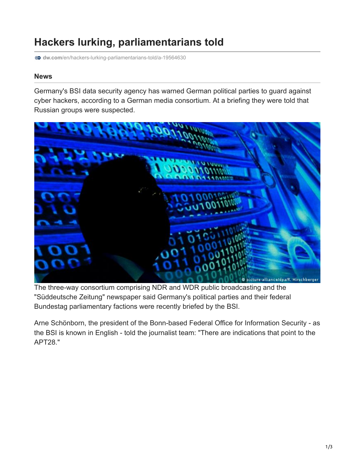## **Hackers lurking, parliamentarians told**

**dw.com**[/en/hackers-lurking-parliamentarians-told/a-19564630](http://www.dw.com/en/hackers-lurking-parliamentarians-told/a-19564630)

## **News**

Germany's BSI data security agency has warned German political parties to guard against cyber hackers, according to a German media consortium. At a briefing they were told that Russian groups were suspected.



The three-way consortium comprising NDR and WDR public broadcasting and the "Süddeutsche Zeitung" newspaper said Germany's political parties and their federal Bundestag parliamentary factions were recently briefed by the BSI.

Arne Schönborn, the president of the Bonn-based Federal Office for Information Security - as the BSI is known in English - told the journalist team: "There are indications that point to the APT28."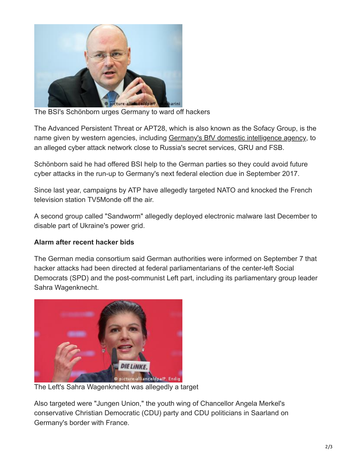

The BSI's Schönborn urges Germany to ward off hackers

The Advanced Persistent Threat or APT28, which is also known as the Sofacy Group, is the name given by western agencies, including [Germany's BfV domestic intelligence agency](http://www.dw.com/en/germanys-domestic-intelligence-chief-accuses-russia-of-cyberwarfare/a-19256911), to an alleged cyber attack network close to Russia's secret services, GRU and FSB.

Schönborn said he had offered BSI help to the German parties so they could avoid future cyber attacks in the run-up to Germany's next federal election due in September 2017.

Since last year, campaigns by ATP have allegedly targeted NATO and knocked the French television station TV5Monde off the air.

A second group called "Sandworm" allegedly deployed electronic malware last December to disable part of Ukraine's power grid.

## **Alarm after recent hacker bids**

The German media consortium said German authorities were informed on September 7 that hacker attacks had been directed at federal parliamentarians of the center-left Social Democrats (SPD) and the post-communist Left part, including its parliamentary group leader Sahra Wagenknecht.



The Left's Sahra Wagenknecht was allegedly a target

Also targeted were "Jungen Union," the youth wing of Chancellor Angela Merkel's conservative Christian Democratic (CDU) party and CDU politicians in Saarland on Germany's border with France.